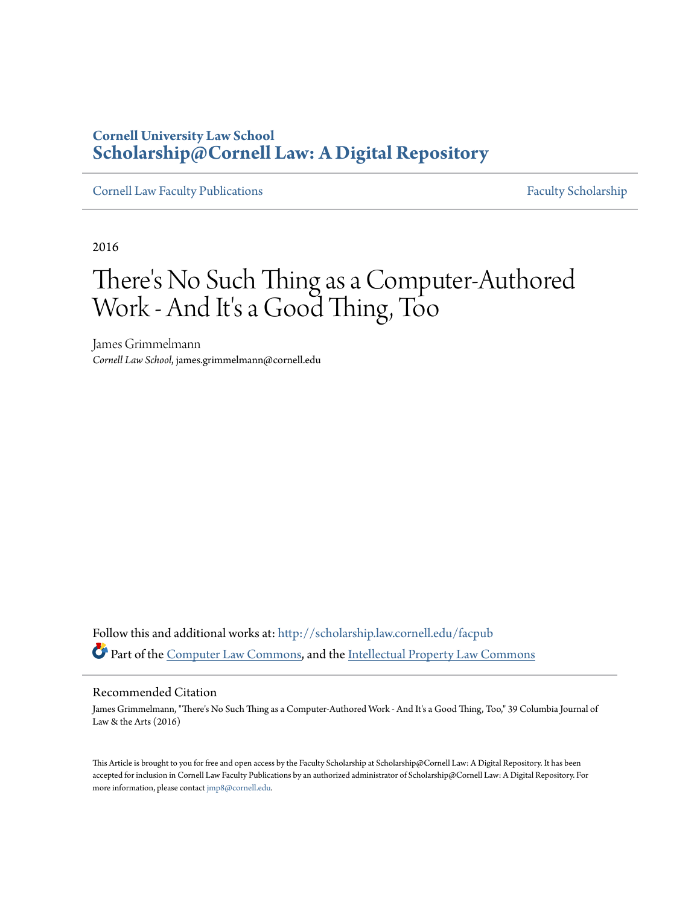## **Cornell University Law School [Scholarship@Cornell Law: A Digital Repository](http://scholarship.law.cornell.edu?utm_source=scholarship.law.cornell.edu%2Ffacpub%2F1483&utm_medium=PDF&utm_campaign=PDFCoverPages)**

[Cornell Law Faculty Publications](http://scholarship.law.cornell.edu/facpub?utm_source=scholarship.law.cornell.edu%2Ffacpub%2F1483&utm_medium=PDF&utm_campaign=PDFCoverPages) [Faculty Scholarship](http://scholarship.law.cornell.edu/facsch?utm_source=scholarship.law.cornell.edu%2Ffacpub%2F1483&utm_medium=PDF&utm_campaign=PDFCoverPages)

2016

# There 's No Such Thing as a Computer-Authored Work - And It's a Good Thing, Too

James Grimmelmann *Cornell Law School*, james.grimmelmann@cornell.edu

Follow this and additional works at: [http://scholarship.law.cornell.edu/facpub](http://scholarship.law.cornell.edu/facpub?utm_source=scholarship.law.cornell.edu%2Ffacpub%2F1483&utm_medium=PDF&utm_campaign=PDFCoverPages) Part of the [Computer Law Commons,](http://network.bepress.com/hgg/discipline/837?utm_source=scholarship.law.cornell.edu%2Ffacpub%2F1483&utm_medium=PDF&utm_campaign=PDFCoverPages) and the [Intellectual Property Law Commons](http://network.bepress.com/hgg/discipline/896?utm_source=scholarship.law.cornell.edu%2Ffacpub%2F1483&utm_medium=PDF&utm_campaign=PDFCoverPages)

#### Recommended Citation

James Grimmelmann, "There's No Such Thing as a Computer-Authored Work - And It's a Good Thing, Too," 39 Columbia Journal of Law & the Arts (2016)

This Article is brought to you for free and open access by the Faculty Scholarship at Scholarship@Cornell Law: A Digital Repository. It has been accepted for inclusion in Cornell Law Faculty Publications by an authorized administrator of Scholarship@Cornell Law: A Digital Repository. For more information, please contact [jmp8@cornell.edu.](mailto:jmp8@cornell.edu)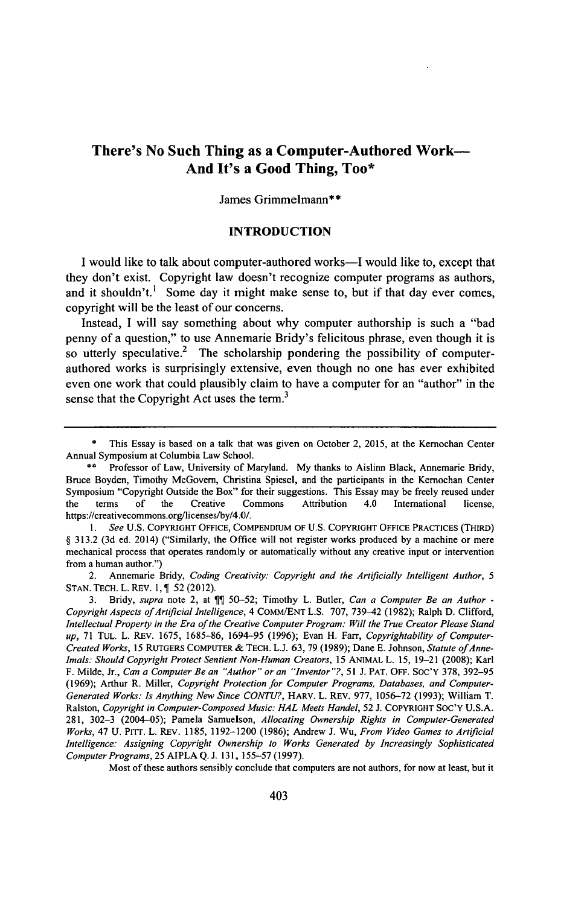## **There's No Such Thing as a Computer-Authored Work-And It's a Good Thing, Too\***

#### James Grimmelmann\*\*

#### **INTRODUCTION**

I would like to talk about computer-authored works—I would like to, except that they don't exist. Copyright law doesn't recognize computer programs as authors, and it shouldn't.<sup>1</sup> Some day it might make sense to, but if that day ever comes, copyright will be the least of our concerns.

Instead, **I** will say something about why computer authorship is such a "bad penny of a question," to use Annemarie Bridy's felicitous phrase, even though it is so utterly speculative.<sup>2</sup> The scholarship pondering the possibility of computerauthored works is surprisingly extensive, even though no one has ever exhibited even one work that could plausibly claim to have a computer for an "author" in the sense that the Copyright Act uses the term.<sup>3</sup>

2. Annemarie Bridy, *Coding Creativity: Copyright and the Artificially Intelligent Author*, 5 **STAN. TECH.** L. REv. **1, 1 52** (2012).

Most of these authors sensibly conclude that computers are not authors, for now at least, but it

**<sup>\*</sup>** This Essay is based on a talk that was given on October 2, **2015,** at the Kernochan Center Annual Symposium at Columbia Law School.

**<sup>\*\*</sup>** Professor of Law, University of Maryland. **My** thanks to Aislinn Black, Annemarie Bridy, Bruce Boyden, Timothy McGovern, Christina Spiesel, and the participants in the Kernochan Center Symposium "Copyright Outside the Box" for their suggestions. This Essay may be freely reused under the terms of the Creative Commons Attribution 4.0 International license, https://creativecommons.org/licenses/by/4.0/.

*<sup>1.</sup> See* **U.S.** COPYRIGHT **OFFICE, COMPENDIUM** OF **U.S.** COPYRIGHT **OFFICE** PRACTICES (THIRD) **§ 313.2 (3d** ed. 2014) ("Similarly, the Office will not register works produced **by** a machine or mere mechanical process that operates randomly or automatically without any creative input or intervention from a human author.")

**<sup>3.</sup>** Bridy, *supra* note 2, at ¶¶ **50-52;** Timothy L. Butler, *Can a Computer Be an Author Copyright Aspects of Artificial Intelligence,* 4 COMM/ENT **L.S. 707, 739-42 (1982);** Ralph **D.** Clifford, *Intellectual Property in the Era of the Creative Computer Program: Will the True Creator Please Stand up,* **71 TUL.** L. REV. **1675, 1685-86, 1694-95 (1996);** Evan H. Farr, *Copyrightability of Computer-Created Works, 15* RUTGERS COMPUTER **& TECH. L.J. 63, 79 (1989);** Dane **E.** Johnson, *Statute ofAnne-Imals: Should Copyright Protect Sentient Non-Human Creators, 15* **ANIMAL** L. **15, 19-21 (2008);** Karl F. Milde, Jr., *Can a Computer Be an "Author" or an "Inventor"?,* **51 J.** PAT. OFF. Soc'Y **378, 392-95 (1969);** Arthur R. Miller, *Copyright Protection for Computer Programs, Databases, and Computer-Generated Works: Is Anything New Since CONTU?,* HARV. L. REV. **977, 1056-72 (1993);** William T. Ralston, *Copyright in Computer-Composed Music: HAL Meets Handel,* **52 J.** COPYRIGHT SOC'Y **U.S.A. 281, 302-3** (2004-05); Pamela Samuelson, *Allocating Ownership Rights in Computer-Generated Works,* 47 **U.** PITT. L. REV. **1185, 1192-1200 (1986);** Andrew **J.** Wu, *From Video Games to Artificial Intelligence: Assigning Copyright Ownership to Works Generated by Increasingly Sophisticated Computer Programs,* **25 AIPLA Q. J. 131, 155-57 (1997).**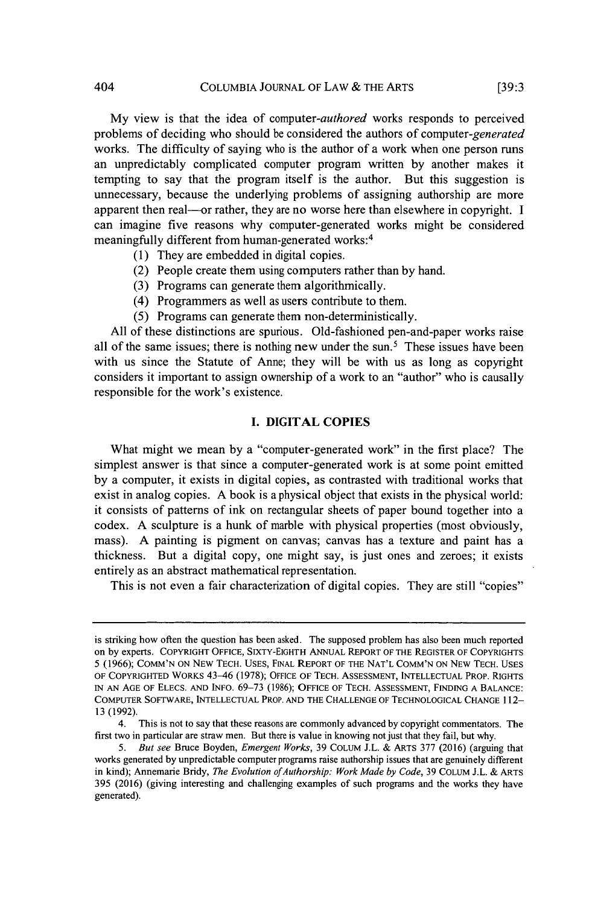#### **COLUMBIA JOURNAL** OF LAW **&** THE ARTS 404 **[39:3**

**My** view is that the idea of *computer-authored* works responds to perceived problems of deciding who should be considered the authors of *computer-generated* works. The difficulty of saying who is the author of a work when one person runs an unpredictably complicated computer program written **by** another makes it tempting to say that the program itself is the author. But this suggestion is unnecessary, because the underlying problems of assigning authorship are more apparent then real-or rather, they are no worse here than elsewhere in copyright. **<sup>I</sup>** can imagine five reasons why computer-generated works might be considered meaningfully different from human-generated works:<sup>4</sup>

- **(1)** They are embedded in digital copies.
- (2) People create them using computers rather than **by** hand.
- **(3)** Programs can generate them algorithmically.
- (4) Programmers as well as users contribute to them.
- *(5)* Programs can generate them non-deterministically.

**All** of these distinctions are spurious. Old-fashioned pen-and-paper works raise all of the same issues; there is nothing new under the sun. $<sup>5</sup>$  These issues have been</sup> with us since the Statute of Anne; they will be with us as long as copyright considers it important to assign ownership of a work to an "author" who is causally responsible for the work's existence.

#### **I. DIGITAL COPIES**

What might we mean **by** a "computer-generated work" in the first place? The simplest answer is that since a computer-generated work is at some point emitted **by** a computer, it exists in digital copies, as contrasted with traditional works that exist in analog copies. **A** book is a physical object that exists in the physical world: it consists of patterns of ink on rectangular sheets of paper bound together into a codex. **A** sculpture is a hunk of marble with physical properties (most obviously, mass). **A** painting is pigment on canvas; canvas has a texture and paint has a thickness. But a digital copy, one might say, is just ones and zeroes; it exists entirely as an abstract mathematical representation.

This is not even a fair characterization of digital copies. They are still "copies"

is striking how often the question has been asked. The supposed problem has also been much reported on **by** experts. COPYRIGHT **OFFICE,** SIxTY-EIGHTH **ANNUAL** REPORT OF THE REGISTER OF COPYRIGHTS *5* **(1966); COMM'N ON** NEW **TECH.** USES, **FINAL** REPORT OF THE **NAT'L** COMM'N ON **NEW TECH. USES** OF COPYRIGHTED WORKS 43-46 **(1978); OFFICE** OF **TECH. ASSESSMENT, INTELLECTUAL** PROP. RIGHTS **IN AN AGE** OF **ELECS. AND INFO. 69-73 (1986); OFFICE** OF **TECH. ASSESSMENT, FINDING A BALANCE:** COMPUTER SOFTWARE, **INTELLECTUAL** PROP. **AND** THE **CHALLENGE** OF **TECHNOLOGICAL CHANGE** 112- **13 (1992).**

<sup>4.</sup> This is not to say that these reasons are commonly advanced **by** copyright commentators. The first two in particular are straw men. But there is value in knowing not just that they fail, but why.

*<sup>5.</sup> But see* Bruce Boyden, *Emergent Works,* **39 COLUM J.L. &** ARTS **377 (2016)** (arguing that works generated **by** unpredictable computer programs raise authorship issues that are genuinely different in kind); Annemarie Bridy, *The Evolution ofAuthorship: Work Made by Code,* **39** COLUM **J.L. &** ARTS **395 (2016)** (giving interesting and challenging examples of such programs and the works they have generated).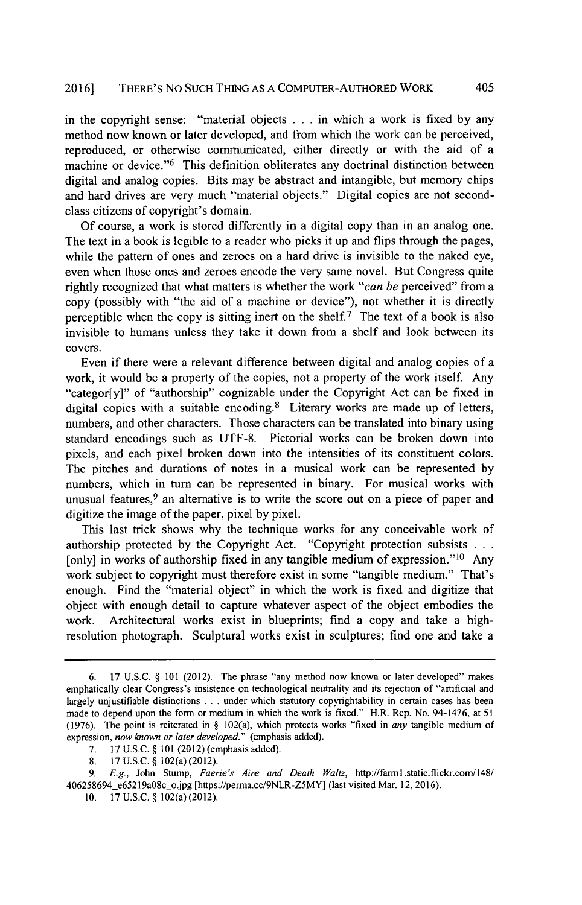in the copyright sense: "material objects **. . .** in which a work is fixed **by** any method now known or later developed, and from which the work can be perceived, reproduced, or otherwise communicated, either directly or with the aid of a machine or device."<sup>6</sup> This definition obliterates any doctrinal distinction between digital and analog copies. Bits may be abstract and intangible, but memory chips and hard drives are very much "material objects." Digital copies are not secondclass citizens of copyright's domain.

**Of** course, a work is stored differently in a digital copy than in an analog one. The text in a book is legible to a reader who picks it up and flips through the pages, while the pattern of ones and zeroes on a hard drive is invisible to the naked eye, even when those ones and zeroes encode the very same novel. But Congress quite rightly recognized that what matters is whether the work *"can be* perceived" from a copy (possibly with "the aid of a machine or device"), not whether it is directly perceptible when the copy is sitting inert on the shelf.<sup>7</sup> The text of a book is also invisible to humans unless they take it down from a shelf and look between its covers.

Even if there were a relevant difference between digital and analog copies of a work, it would be a property of the copies, not a property of the work itself. Any "categor[y]" of "authorship" cognizable under the Copyright Act can be fixed in digital copies with a suitable encoding. $8$  Literary works are made up of letters, numbers, and other characters. Those characters can be translated into binary using standard encodings such as **UTF-8.** Pictorial works can be broken down into pixels, and each pixel broken down into the intensities of its constituent colors. The pitches and durations of notes in a musical work can be represented **by** numbers, which in turn can be represented in binary. For musical works with unusual features,  $9$  an alternative is to write the score out on a piece of paper and digitize the image of the paper, pixel **by** pixel.

This last trick shows why the technique works for any conceivable work of authorship protected **by** the Copyright Act. "Copyright protection subsists **. .** [only] in works of authorship fixed in any tangible medium of expression."<sup>10</sup> Any work subject to copyright must therefore exist in some "tangible medium." That's enough. Find the "material object" in which the work is fixed and digitize that object with enough detail to capture whatever aspect of the object embodies the work. Architectural works exist in blueprints; find a copy and take a highresolution photograph. Sculptural works exist in sculptures; find one and take a

**9.** *E.g.,* John Stump, *Faerie's Aire and Death Waltz,* http://farml.static.flickr.com/148/ 406258694 e65219a08c o.jpg [https://perma.cc/9NLR-Z5MY] (last visited Mar. 12, **2016).**

**<sup>6. 17</sup> U.S.C. § 101** (2012). The phrase "any method now known or later developed" makes emphatically clear Congress's insistence on technological neutrality and its rejection of "artificial and largely unjustifiable distinctions **.** . **.** under which statutory copyrightability in certain cases has been made to depend upon the form or medium in which the work is fixed." H.R. Rep. No. 94-1476, at **51 (1976).** The point is reiterated in **§** 102(a), which protects works "fixed in *any* tangible medium of expression, *now known or later developed."* (emphasis added).

**<sup>7. 17</sup> U.S.C. § 101** (2012) (emphasis added).

**<sup>8. 17</sup> U.S.C. §** 102(a) (2012).

**<sup>10. 17</sup> U.S.C. §** 102(a) (2012).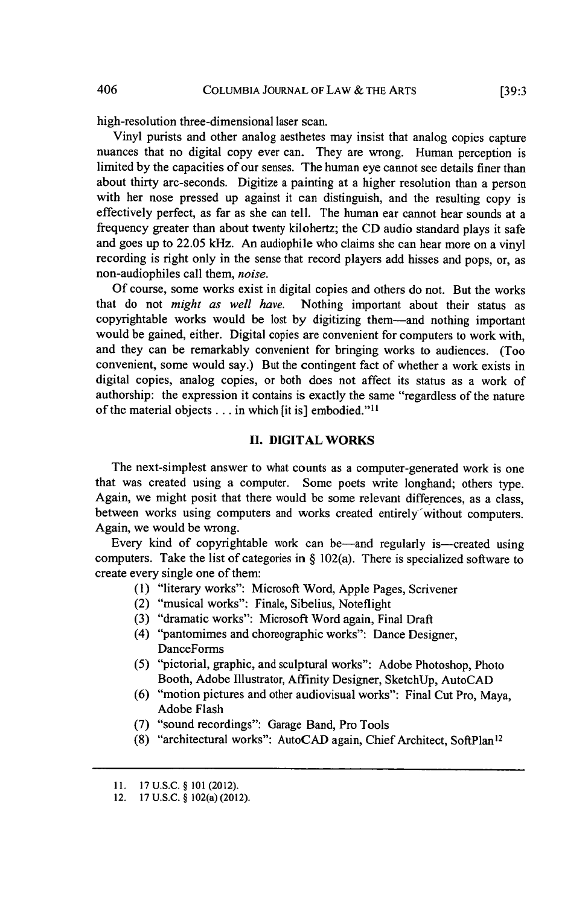high-resolution three-dimensional laser scan.

Vinyl purists and other analog aesthetes may insist that analog copies capture nuances that no digital copy ever can. They are wrong. Human perception is limited **by** the capacities of our senses. The human eye cannot see details finer than about thirty arc-seconds. Digitize a painting at a higher resolution than a person with her nose pressed up against it can distinguish, and the resulting copy is effectively perfect, as far as she can tell. The human ear cannot hear sounds at a frequency greater than about twenty kilohertz; the **CD** audio standard plays it safe and goes up to **22.05** kHz. An audiophile who claims she can hear more on a vinyl recording is right only in the sense that record players add hisses and pops, or, as non-audiophiles call them, *noise.*

**Of** course, some works exist in digital copies and others do not. But the works that do not *might as well have.* Nothing important about their status as copyrightable works would be lost **by** digitizing them-and nothing important would be gained, either. Digital copies are convenient for computers to work with, and they can be remarkably convenient for bringing works to audiences. (Too convenient, some would say.) But the contingent fact of whether a work exists in digital copies, analog copies, or both does not affect its status as a work of authorship: the expression it contains is exactly the same "regardless of the nature of the material objects . . . in which [it is] embodied."<sup>11</sup>

#### **II. DIGITAL WORKS**

The next-simplest answer to what counts as a computer-generated work is one that was created using a computer. Some poets write longhand; others type. Again, we might posit that there would be some relevant differences, as a class, between works using computers and works created entirely without computers. Again, we would be wrong.

Every kind of copyrightable work can be-and regularly is-created using computers. Take the list of categories in **§** 102(a). There is specialized software to create every single one of them:

- **(1)** "literary works": Microsoft Word, Apple Pages, Scrivener
- (2) "musical works": Finale, Sibelius, Noteflight
- **(3)** "dramatic works": Microsoft Word again, Final Draft
- (4) "pantomimes and choreographic works": Dance Designer, DanceForms
- *(5)* "pictorial, graphic, and sculptural works": Adobe Photoshop, Photo Booth, Adobe Illustrator, Affinity Designer, SketchUp, AutoCAD
- **(6)** "motion pictures and other audiovisual works": Final Cut Pro, Maya, Adobe Flash
- **(7)** "sound recordings": Garage Band, Pro Tools
- **(8)** "architectural works": AutoCAD again, Chief Architect, SoftPlanl<sup>2</sup>

**<sup>11. 17</sup> U.S.C. § 101** (2012).

<sup>12.</sup> **17 U.S.C. §** 102(a) (2012).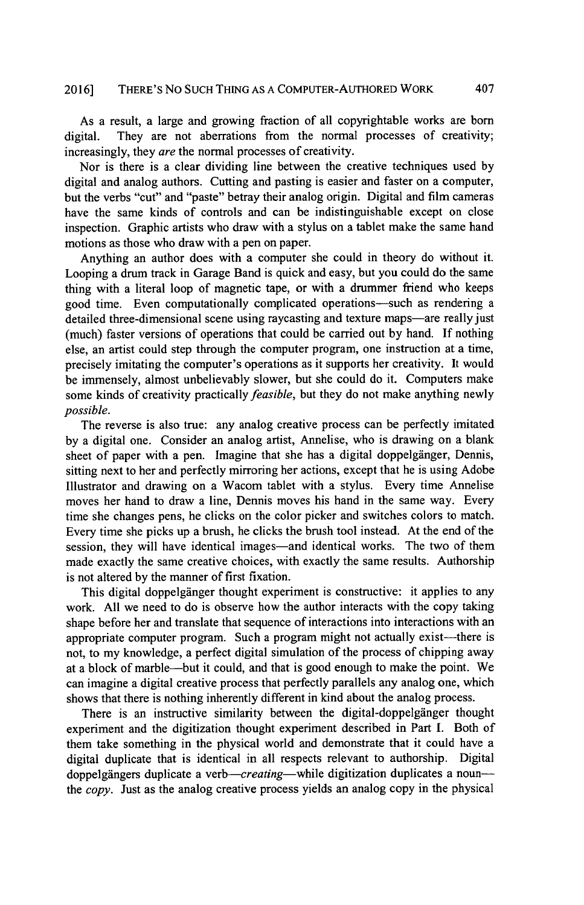#### **2016]** THERE'S No **SUCH** THING **AS A** COMPUTER-AUTHORED WORK

As a result, a large and growing fraction of all copyrightable works are born digital. They are not aberrations from the normal processes of creativity; increasingly, they *are* the normal processes of creativity.

Nor is there is a clear dividing line between the creative techniques used **by** digital and analog authors. Cutting and pasting is easier and faster on a computer, but the verbs "cut" and "paste" betray their analog origin. Digital and film cameras have the same kinds of controls and can be indistinguishable except on close inspection. Graphic artists who draw with a stylus on a tablet make the same hand motions as those who draw with a pen on paper.

Anything an author does with a computer she could in theory do without it. Looping a drum track in Garage Band is quick and easy, but you could do the same thing with a literal loop of magnetic tape, or with a drummer friend who keeps good time. Even computationally complicated operations-such as rendering a detailed three-dimensional scene using raycasting and texture maps-are really just (much) faster versions of operations that could be carried out **by** hand. **If** nothing else, an artist could step through the computer program, one instruction at a time, precisely imitating the computer's operations as it supports her creativity. It would be immensely, almost unbelievably slower, but she could do it. Computers make some kinds of creativity practically *feasible,* but they do not make anything newly *possible.*

The reverse is also true: any analog creative process can be perfectly imitated **by** a digital one. Consider an analog artist, Annelise, who is drawing on a blank sheet of paper with a pen. Imagine that she has a digital doppelginger, Dennis, sitting next to her and perfectly mirroring her actions, except that he is using Adobe Illustrator and drawing on a Wacom tablet with a stylus. Every time Annelise moves her hand to draw a line, Dennis moves his hand in the same way. Every time she changes pens, he clicks on the color picker and switches colors to match. Every time she picks up a brush, he clicks the brush tool instead. At the end of the session, they will have identical images—and identical works. The two of them made exactly the same creative choices, with exactly the same results. Authorship is not altered **by** the manner of first fixation.

This digital doppelginger thought experiment is constructive: it applies to any work. **All** we need to do is observe how the author interacts with the copy taking shape before her and translate that sequence of interactions into interactions with an appropriate computer program. Such a program might not actually exist--there is not, to my knowledge, a perfect digital simulation of the process of chipping away at a block of marble-but it could, and that is good enough to make the point. We can imagine a digital creative process that perfectly parallels any analog one, which shows that there is nothing inherently different in kind about the analog process.

There is an instructive similarity between the digital-doppelginger thought experiment and the digitization thought experiment described in Part **I.** Both of them take something in the physical world and demonstrate that it could have a digital duplicate that is identical in all respects relevant to authorship. Digital doppelgängers duplicate a verb-creating-while digitization duplicates a noun-*the copy.* Just as the analog creative process yields an analog copy in the physical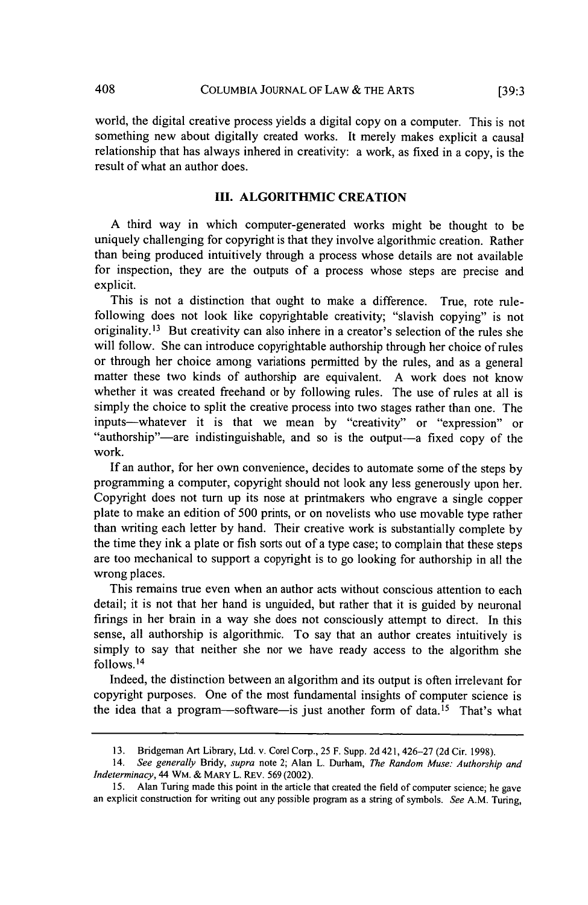world, the digital creative process yields a digital copy on a computer. This is not something new about digitally created works. It merely makes explicit a causal relationship that has always inhered in creativity: a work, as fixed in a copy, is the result of what an author does.

#### **III. ALGORITHMIC CREATION**

**A** third way in which computer-generated works might be thought to be uniquely challenging for copyright is that they involve algorithmic creation. Rather than being produced intuitively through a process whose details are not available for inspection, they are the outputs of a process whose steps are precise and explicit.

This is not a distinction that ought to make a difference. True, rote rulefollowing does not look like copyrightable creativity; "slavish copying" is not originality.<sup>13</sup> But creativity can also inhere in a creator's selection of the rules she will follow. She can introduce copyrightable authorship through her choice of rules or through her choice among variations permitted **by** the rules, and as a general matter these two kinds of authorship are equivalent. **A** work does not know whether it was created freehand or **by** following rules. The use of rules at all is simply the choice to split the creative process into two stages rather than one. The inputs-whatever it is that we mean **by** "creativity" or "expression" or "authorship"—are indistinguishable, and so is the output—a fixed copy of the work.

**If** an author, for her own convenience, decides to automate some of the steps **by** programming a computer, copyright should not look any less generously upon her. Copyright does not turn up its nose at printmakers who engrave a single copper plate to make an edition of **500** prints, or on novelists who use movable type rather than writing each letter **by** hand. Their creative work is substantially complete **by** the time they ink a plate or fish sorts out of a type case; to complain that these steps are too mechanical to support a copyright is to go looking for authorship in all the wrong places.

This remains true even when an author acts without conscious attention to each detail; it is not that her hand is unguided, but rather that it is guided **by** neuronal firings in her brain in a way she does not consciously attempt to direct. In this sense, all authorship is algorithmic. To say that an author creates intuitively is simply to say that neither she nor we have ready access to the algorithm she **follows.** <sup>14</sup>

Indeed, the distinction between an algorithm and its output is often irrelevant for copyright purposes. One of the most fundamental insights of computer science is the idea that a program-software-is just another form of data.<sup>15</sup> That's what

**<sup>13.</sup>** Bridgeman Art Library, Ltd. v. Corel Corp., **25** F. Supp. **2d** 421, 426-27 **(2d** Cir. **1998).**

*<sup>14.</sup> See generally Bridy, supra* note 2; Alan L. Durham, *The Random Muse: Authorship and Indeterminacy,* 44 WM. **&** MARY L. REv. **569** (2002).

**<sup>15.</sup>** Alan Turing made this point in the article that created the field of computer science; he gave an explicit construction for writing out any possible program as a string of symbols. *See* A.M. Turing,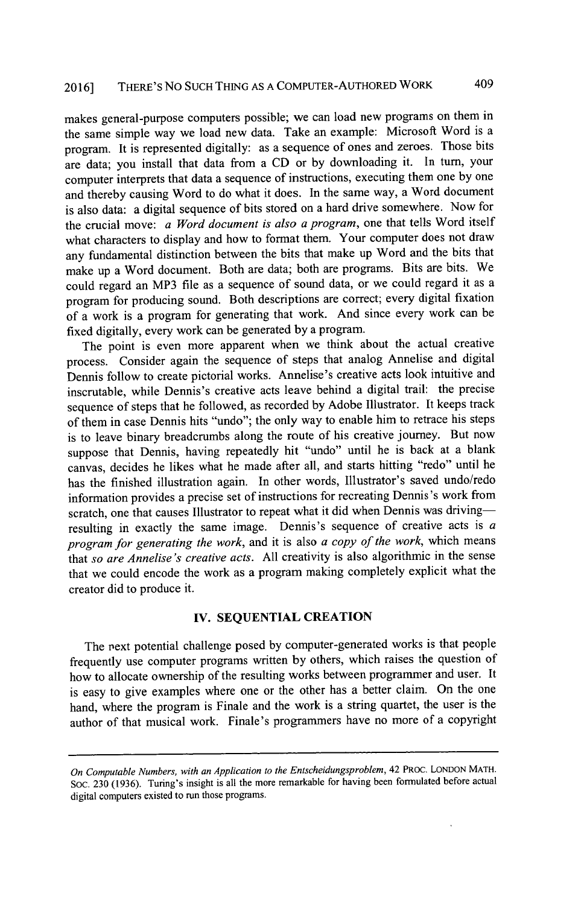makes general-purpose computers possible; we can load new programs on them in the same simple way we load new data. Take an example: Microsoft Word is a program. It is represented digitally: as a sequence of ones and zeroes. Those bits are data; you install that data from a **CD** or **by** downloading it. In turn, your computer interprets that data a sequence of instructions, executing them one **by** one and thereby causing Word to do what it does. In the same way, a Word document is also data: a digital sequence of bits stored on a hard drive somewhere. Now for the crucial move: *a Word document is also a program,* one that tells Word itself what characters to display and how to format them. Your computer does not draw any fundamental distinction between the bits that make up Word and the bits that make up a Word document. Both are data; both are programs. Bits are bits. We could regard an MP3 file as a sequence of sound data, or we could regard it as a program **for** producing sound. Both descriptions are correct; every digital fixation of a work is a program for generating that work. And since every work can be fixed digitally, every work can be generated **by** a program.

The point is even more apparent when we think about the actual creative process. Consider again the sequence of steps that analog Annelise and digital Dennis follow to create pictorial works. Annelise's creative acts look intuitive and inscrutable, while Dennis's creative acts leave behind a digital trail: the precise sequence of steps that he followed, as recorded **by** Adobe Illustrator. It keeps track of them in case Dennis hits "undo"; the only way to enable him to retrace his steps is to leave binary breadcrumbs along the route of his creative journey. But now suppose that Dennis, having repeatedly hit "undo" until he is back at a blank canvas, decides he likes what he made after all, and starts hitting "redo" until he has the finished illustration again. In other words, Illustrator's saved undo/redo information provides a precise set of instructions for recreating Dennis's work from scratch, one that causes Illustrator to repeat what it did when Dennis was drivingresulting in exactly the same image. Dennis's sequence of creative acts is *a program for generating the work,* and it is also *a copy of the work,* which means that *so are Annelise's creative acts.* **All** creativity is also algorithmic in the sense that we could encode the work as a program making completely explicit what the creator did to produce it.

#### **IV. SEQUENTIAL CREATION**

The next potential challenge posed **by** computer-generated works is that people frequently use computer programs written **by** others, which raises the question of how to allocate ownership of the resulting works between programmer and user. It is easy to give examples where one or the other has a better claim. On the one hand, where the program is Finale and the work is a string quartet, the user is the author of that musical work. Finale's programmers have no more of a copyright

*On Computable Numbers, with an Application to the Entscheidungsproblem,* 42 PROC. **LONDON** MATH. Soc. **230 (1936).** Turing's insight is all the more remarkable for having been formulated before actual digital computers existed to run those programs.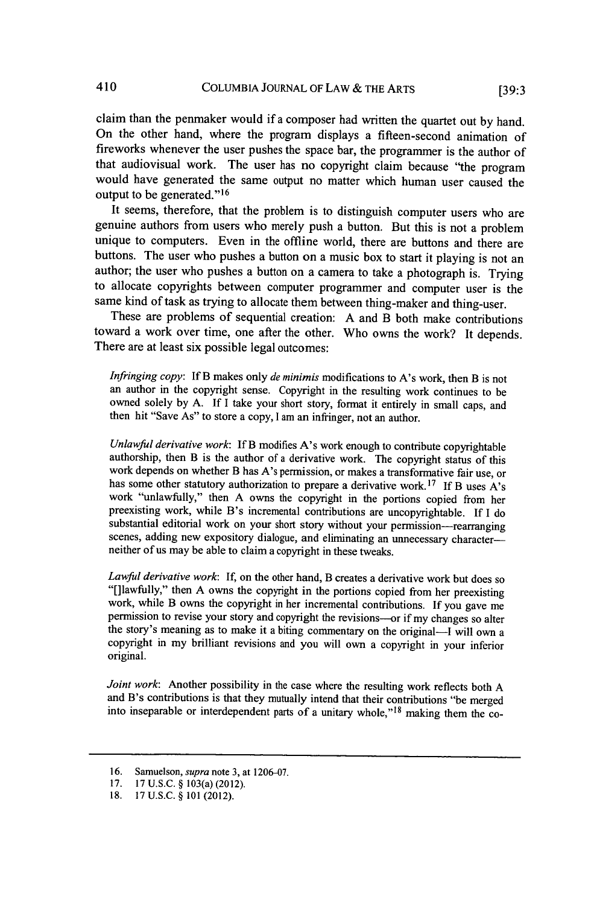claim than the penmaker would if a composer had written the quartet out **by** hand. On the other hand, where the program displays a fifteen-second animation of fireworks whenever the user pushes the space bar, the programmer is the author of that audiovisual work. The user has no copyright claim because "the program would have generated the same output no matter which human user caused the output to be generated." $16$ 

It seems, therefore, that the problem is to distinguish computer users who are genuine authors from users who merely push a button. But this is not a problem unique to computers. Even in the offline world, there are buttons and there are buttons. The user who pushes a button on a music box to start it playing is not an author; the user who pushes a button on a camera to take a photograph is. Trying to allocate copyrights between computer programmer and computer user is the same kind of task as trying to allocate them between thing-maker and thing-user.

These are problems of sequential creation: **A** and B both make contributions toward a work over time, one after the other. Who owns the work? It depends. There are at least six possible legal outcomes:

*Infringing copy:* **If** B makes only *de minimis* modifications to A's work, then B is not an author in the copyright sense. Copyright in the resulting work continues to be owned solely **by A. If I** take your short story, format it entirely in small caps, and then hit "Save As" to store a copy, **I** am an infringer, not an author.

*Unlawful derivative work:* **If** B modifies A's work enough to contribute copyrightable authorship, then B is the author of a derivative work. The copyright status of this work depends on whether B has A's permission, or makes a transformative fair use, or has some other statutory authorization to prepare a derivative work.<sup>17</sup> If B uses A's work "unlawfully," then **A** owns the copyright in the portions copied from her preexisting work, while B's incremental contributions are uncopyrightable. **If** I do substantial editorial work on your short story without your permission-rearranging scenes, adding new expository dialogue, and eliminating an unnecessary characterneither of us may be able to claim a copyright in these tweaks.

*Lawful derivative work:* **If,** on the other hand, B creates a derivative work but does so "[]lawfilly," then **A** owns the copyright in the portions copied from her preexisting work, while B owns the copyright in her incremental contributions. **If** you gave me permission to revise your story and copyright the revisions-or if my changes so alter the story's meaning as to make it a biting commentary on the original-I will own a copyright in my brilliant revisions and you will own a copyright in your inferior original.

*Joint work:* Another possibility in the case where the resulting work reflects both **<sup>A</sup>** and B's contributions is that they mutually intend that their contributions "be merged into inseparable or interdependent parts of a unitary whole," $18$  making them the co-

**<sup>16.</sup>** Samuelson, *supra* note **3,** at **1206-07.**

**<sup>17. 17</sup> U.S.C. §** 103(a) (2012).

**<sup>18. 17</sup> U.S.C. § 101** (2012).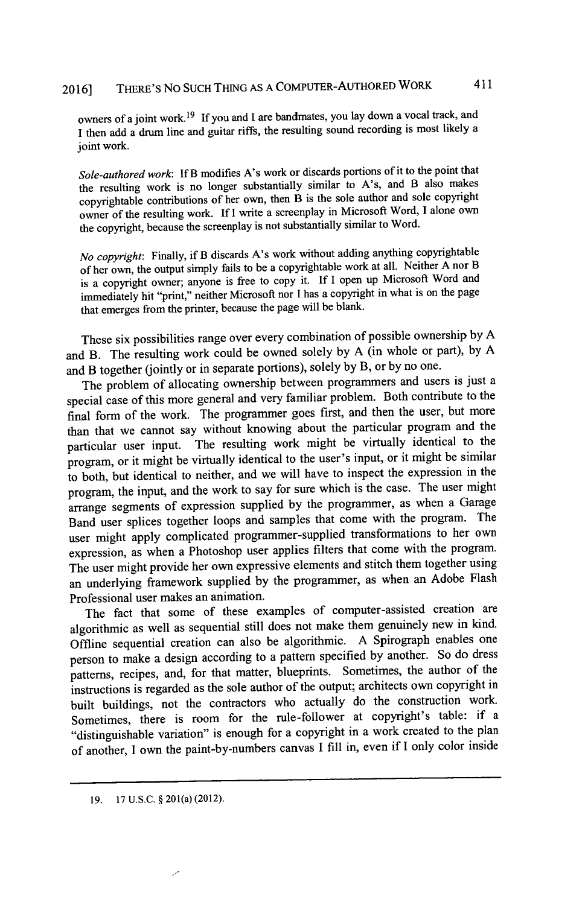## <sup>411</sup> **2016]** THERE'S **No SUCH THING AS A** COMPUTER-AUTHORED WORK

owners of a joint work.<sup>19</sup>**If** you and **I** are bandmates, you lay down a vocal track, and I then add a drum line and guitar riffs, the resulting sound recording is most likely a joint work.

*Sole-authored work:* **If** B modifies A's work or discards portions of it to the point that the resulting work is no longer substantially similar to A's, and B also makes copyrightable contributions of her own, then B is the sole author and sole copyright owner of the resulting work. **If I** write a screenplay in Microsoft Word, I alone own the copyright, because the screenplay is not substantially similar to Word.

*No copyright:* Finally, if B discards A's work without adding anything copyrightable of her own, the output simply fails to be a copyrightable work at all. Neither **<sup>A</sup>**nor B is a copyright owner; anyone is free to copy it. **If** I open up Microsoft Word and immediately hit "print," neither Microsoft nor **I** has a copyright in what is on the page that emerges from the printer, because the page will be blank.

These six possibilities range over every combination of possible ownership **by A** and B. The resulting work could be owned solely **by A** (in whole or part), **by A** and B together (jointly or in separate portions), solely **by** B, or **by** no one.

The problem of allocating ownership between programmers and users is just a special case of this more general and very familiar problem. Both contribute to the final form of the work. The programmer goes first, and then the user, but more than that we cannot say without knowing about the particular program and the particular user input. The resulting work might be virtually identical to the program, or it might be virtually identical to the user's input, or it might be similar to both, but identical to neither, and we will have to inspect the expression in the program, the input, and the work to say for sure which is the case. The user might arrange segments of expression supplied **by** the programmer, as when a Garage Band user splices together loops and samples that come with the program. The user might apply complicated programmer-supplied transformations to her own expression, as when a Photoshop user applies filters that come with the program. The user might provide her own expressive elements and stitch them together using an underlying framework supplied **by** the programmer, as when an Adobe Flash Professional user makes an animation.

The fact that some of these examples of computer-assisted creation are algorithmic as well as sequential still does not make them genuinely new in kind. Offline sequential creation can also be algorithmic. **A** Spirograph enables one person to make a design according to a pattern specified **by** another. So do dress patterns, recipes, and, for that matter, blueprints. Sometimes, the author of the instructions is regarded as the sole author of the output; architects own copyright in built buildings, not the contractors who actually do the construction work. Sometimes, there is room for the rule-follower at copyright's table: if a "distinguishable variation" is enough for a copyright in a work created to the plan of another, **I** own the paint-by-numbers canvas **I** fill in, even if **I** only color inside

**19. 17 U.S.C. §** 201(a) (2012).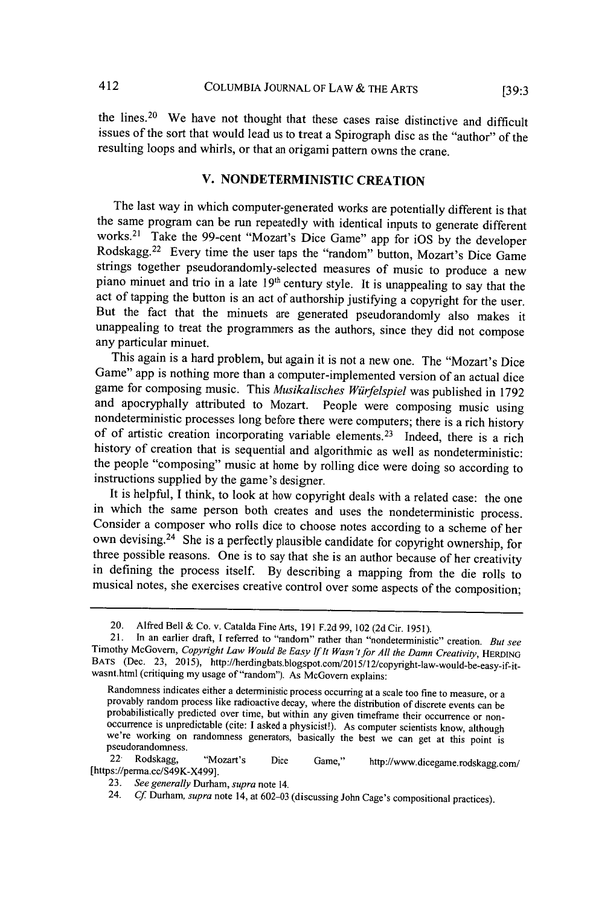the lines.<sup>20</sup> We have not thought that these cases raise distinctive and difficult issues of the sort that would lead us to treat a Spirograph disc as the "author" of the resulting loops and whirls, or that an origami pattern owns the crane.

### **V. NONDETERMINISTIC CREATION**

The last way in which computer-generated works are potentially different is that the same program can be run repeatedly with identical inputs to generate different works.<sup>21</sup> Take the 99-cent "Mozart's Dice Game" app for iOS by the developer Rodskagg.<sup>22</sup> Every time the user taps the "random" button, Mozart's Dice Game strings together pseudorandomly-selected measures of music to produce a new piano minuet and trio in a late 19<sup>th</sup> century style. It is unappealing to say that the act of tapping the button is an act of authorship justifying a copyright for the user. But the fact that the minuets are generated pseudorandomly also makes it unappealing to treat the programmers as the authors, since they did not compose any particular minuet.

This again is a hard problem, but again it is not a new one. The "Mozart's Dice Game" app is nothing more than a computer-implemented version of an actual dice game for composing music. This *Musikalisches Wirfelspiel* was published in **<sup>1792</sup>** and apocryphally attributed to Mozart. People were composing music using nondeterministic processes long before there were computers; there is a rich history of of artistic creation incorporating variable elements.<sup>23</sup> Indeed, there is a rich history of creation that is sequential and algorithmic as well as nondeterministic: the people "composing" music at home **by** rolling dice were doing so according to instructions supplied **by** the game's designer.

It is helpful, **I** think, to look at how copyright deals with a related case: the one in which the same person both creates and uses the nondeterministic process. Consider a composer who rolls dice to choose notes according to a scheme of her own devising.<sup>24</sup> She is a perfectly plausible candidate for copyright ownership, for three possible reasons. One is to say that she is an author because of her creativity in defining the process itself. **By** describing a mapping from the die rolls to musical notes, she exercises creative control over some aspects of the composition;

22 Rodskagg, "Mozart's Dice Game," http://www.dicegame.rodskagg.com/ [https://perna.cc/S49K-X499].

<sup>20.</sup> Alfred Bell **&** Co. v. Catalda Fine Arts, **191 F.2d 99,** 102 **(2d** Cir. *1951).*

<sup>21.</sup> In an earlier draft, **I** referred to "random" rather than "nondeterministic" creation. *But see* Timothy McGovern, *Copyright Law Would Be Easy If It Wasn't for All the Damn Creativity, HERDING* BATS (Dec. 23, 2015), http://herdingbats.blogspot.com/2015/12/copyright-law-would-be-easy-if-itwasnt.html (critiquing my usage of "random"). As McGovern explains:

Randomness indicates either a deterministic process occurring at a scale too fine to measure, or a provably random process like radioactive decay, where the distribution of discrete events can be probabilistically predicted over time, but within any given timeframe their occurrence or nonoccurrence is unpredictable (cite: **I** asked a physicist!). As computer scientists know, although we're working on randomness generators, basically the best we can get at this point is pseudorandomness.

*<sup>23.</sup> See generally Durham, supra* note 14.

<sup>24.</sup> *Cf Durham, supra* note 14, at **602-03** (discussing John Cage's compositional practices).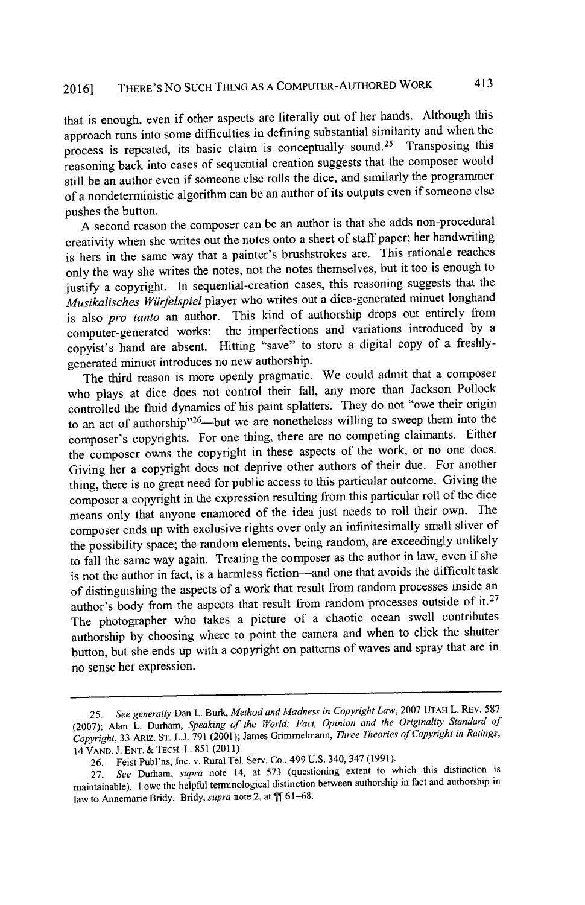that is enough, even if other aspects are literally out of her hands. Although this approach runs into some difficulties in defining substantial similarity and when the process is repeated, its basic claim is conceptually sound.<sup>25</sup> Transposing this reasoning back into cases of sequential creation suggests that the composer would still be an author even if someone else rolls the dice, and similarly the programmer of a nondeterministic algorithm can be an author of its outputs even if someone else pushes the button.

**<sup>A</sup>**second reason the composer can be an author is that she adds non-procedural creativity when she writes out the notes onto a sheet of staff paper; her handwriting is hers in the same way that a painter's brushstrokes are. This rationale reaches only the way she writes the notes, not the notes themselves, but it too is enough to justify a copyright. In sequential-creation cases, this reasoning suggests that the *Musikalisches Wirfelspiel* player who writes out a dice-generated minuet longhand is also *pro tanto* an author. This kind of authorship drops out entirely from computer-generated works: the imperfections and variations introduced **by** <sup>a</sup> copyist's hand are absent. Hitting "save" to store a digital copy of a freshlygenerated minuet introduces no new authorship.

The third reason is more openly pragmatic. We could admit that a composer who plays at dice does not control their fall, any more than Jackson Pollock controlled the fluid dynamics of his paint splatters. They do not "owe their origin to an act of authorship"<sup>26</sup>-but we are nonetheless willing to sweep them into the composer's copyrights. For one thing, there are no competing claimants. Either the composer owns the copyright in these aspects of the work, or no one does. Giving her a copyright does not deprive other authors of their due. For another thing, there is no great need for public access to this particular outcome. Giving the composer a copyright in the expression resulting from this particular roll of the dice means only that anyone enamored of the idea just needs to roll their own. The composer ends up with exclusive rights over only an infinitesimally small sliver of the possibility space; the random elements, being random, are exceedingly unlikely to fall the same way again. Treating the composer as the author in law, even if she is not the author in fact, is a harmless fiction-and one that avoids the difficult task of distinguishing the aspects of a work that result from random processes inside an author's body from the aspects that result from random processes outside **of** it. <sup>27</sup> The photographer who takes a picture of a chaotic ocean swell contributes authorship **by** choosing where to point the camera and when to click the shutter button, but she ends up with a copyright on patterns of waves and spray that are in no sense her expression.

*<sup>25.</sup> See generally* Dan L. Burk, *Method and Madness in Copyright Law,* **2007 UTAH** L. REv. **<sup>587</sup> (2007);** Alan L. Durham, *Speaking of the World: Fact, Opinion and the Originality Standard of Copyright,* **33 ARIZ.** ST. **L.J. 791** (2001); James Grimmelmann, *Three Theories of Copyright in Ratings,* 14 **VAND. J. ENT. & TECH.** L. **851 (2011).**

**<sup>26.</sup>** Feist Publ'ns, Inc. v. Rural Tel. Serv. Co., 499 **U.S.** 340, 347 **(1991).**

**<sup>27.</sup>** *See Durham, supra* note 14, at **573** (questioning extent to which this distinction is maintainable). **I** owe the helpful terminological distinction between authorship in fact and authorship in law to Annemarie Bridy. Bridy, *supra* note 2, at ¶¶ **61-68.**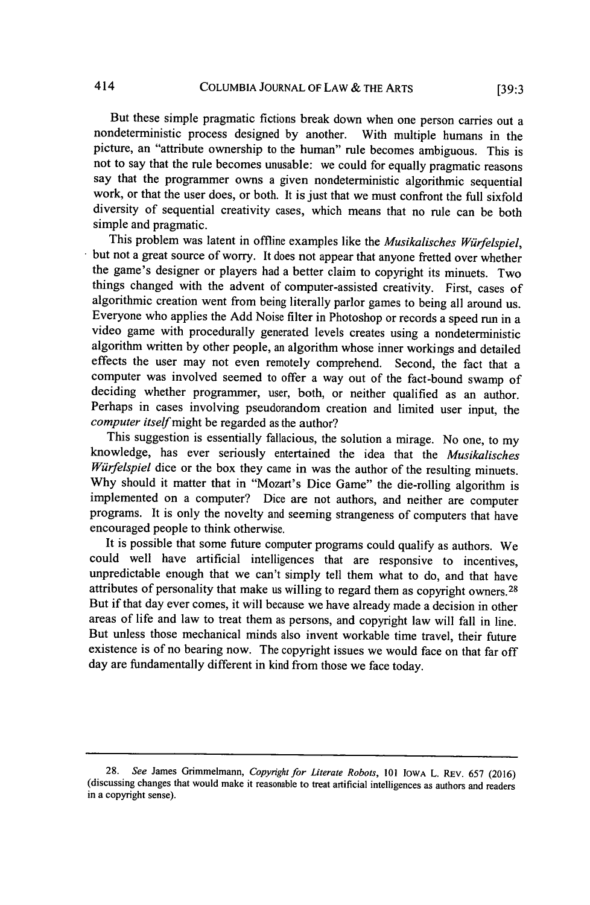But these simple pragmatic fictions break down when one person carries out a nondeterministic process designed **by** another. With multiple humans in the picture, an "attribute ownership to the human" rule becomes ambiguous. This is not to say that the rule becomes unusable: we could for equally pragmatic reasons say that the programmer owns a given nondeterministic algorithmic sequential work, or that the user does, or both. It is just that we must confront the full sixfold diversity of sequential creativity cases, which means that no rule can be both simple and pragmatic.

This problem was latent in offline examples like the *Musikalisches Wirfelspiel,* but not a great source of worry. It does not appear that anyone fretted over whether the game's designer or players had a better claim to copyright its minuets. Two things changed with the advent of computer-assisted creativity. First, cases of algorithmic creation went from being literally parlor games to being all around us. Everyone who applies the **Add** Noise filter in Photoshop or records a speed run in a video game with procedurally generated levels creates using a nondeterministic algorithm written **by** other people, an algorithm whose inner workings and detailed effects the user may not even remotely comprehend. Second, the fact that a computer was involved seemed to offer a way out of the fact-bound swamp of deciding whether programmer, user, both, or neither qualified as an author. Perhaps in cases involving pseudorandom creation and limited user input, the *computer itself* might be regarded as the author?

This suggestion is essentially fallacious, the solution a mirage. No one, to my knowledge, has ever seriously entertained the idea that the *Musikalisches Wirfelspiel* dice or the box they came in was the author of the resulting minuets. **Why** should it matter that in "Mozart's Dice Game" the die-rolling algorithm is implemented on a computer? Dice are not authors, and neither are computer programs. It is only the novelty and seeming strangeness of computers that have encouraged people to think otherwise.

It is possible that some future computer programs could qualify as authors. We could well have artificial intelligences that are responsive to incentives, unpredictable enough that we can't simply tell them what to do, and that have attributes of personality that make us willing to regard them as copyright owners. <sup>28</sup> But if that day ever comes, it will because we have already made a decision in other areas of life and law to treat them as persons, and copyright law will fall in line. But unless those mechanical minds also invent workable time travel, their future existence is of no bearing now. The copyright issues we would face on that far off day are fundamentally different in kind from those we face today.

**<sup>28.</sup>** *See* James Grimnelmann, *Copyright for Literate Robots, <sup>101</sup>*IOWA L. REv. *657* **(2016)** (discussing changes that would make it reasonable to treat artificial intelligences as authors and readers in a copyright sense).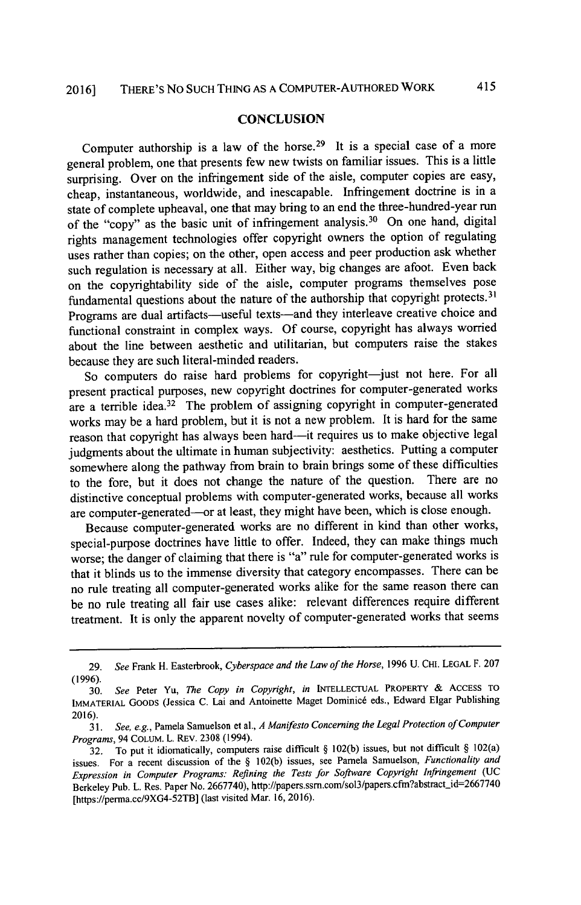#### **CONCLUSION**

Computer authorship is a law of the horse.<sup>29</sup> It is a special case of a more general problem, one that presents few new twists on familiar issues. This is a little surprising. Over on the infringement side of the aisle, computer copies are easy, cheap, instantaneous, worldwide, and inescapable. Infringement doctrine is in a state of complete upheaval, one that may bring to an end the three-hundred-year run of the "copy" as the basic unit of infringement analysis.<sup>30</sup> On one hand, digital rights management technologies offer copyright owners the option of regulating uses rather than copies; on the other, open access and peer production ask whether such regulation is necessary at all. Either way, big changes are afoot. Even back on the copyrightability side of the aisle, computer programs themselves pose fundamental questions about the nature of the authorship that copyright protects.<sup>31</sup> Programs are dual artifacts-useful texts-and they interleave creative choice and functional constraint in complex ways. **Of** course, copyright has always worried about the line between aesthetic and utilitarian, but computers raise the stakes because they are such literal-minded readers.

So computers do raise hard problems for copyright-just not here. For all present practical purposes, new copyright doctrines for computer-generated works are a terrible idea.<sup>32</sup> The problem of assigning copyright in computer-generated works may be a hard problem, but it is not a new problem. It is hard for the same reason that copyright has always been hard—it requires us to make objective legal judgments about the ultimate in human subjectivity: aesthetics. Putting a computer somewhere along the pathway from brain to brain brings some of these difficulties to the fore, but it does not change the nature of the question. There are no distinctive conceptual problems with computer-generated works, because all works are computer-generated-or at least, they might have been, which is close enough.

Because computer-generated works are no different in kind than other works, special-purpose doctrines have little to offer. Indeed, they can make things much worse; the danger of claiming that there is "a" rule for computer-generated works is that it blinds us to the immense diversity that category encompasses. There can be no rule treating all computer-generated works alike for the same reason there can be no rule treating all fair use cases alike: relevant differences require different treatment. It is only the apparent novelty of computer-generated works that seems

*<sup>29.</sup>* See Frank H. Easterbrook, *Cyberspace and the Law of the Horse,* **1996 U.** CHi. **LEGAL** F. **207 (1996).**

*<sup>30.</sup> See* Peter Yu, *The Copy in Copyright, in* **INTELLECTUAL PROPERTY & ACCESS TO IMMATERIAL GOODS** (Jessica **C.** Lai and Antoinette Maget Dominic6 eds., Edward Elgar Publishing **2016).**

*<sup>31.</sup> See, e.g.,* Pamela Samuelson et al., *A Manifesto Concerning the Legal Protection of Computer Programs,* 94 COLUM. L. REv. **2308** (1994).

**<sup>32.</sup>** To put it idiomatically, computers raise difficult **§ 102(b)** issues, but not difficult **§** 102(a) issues. For a recent discussion of the **§ 102(b)** issues, see Pamela Samuelson, *Functionality and Expression in Computer Programs: Refining the Tests for Software Copyright Infringement (UC* Expression in Compater Programs: Regiancy and Peters of Companies Programs 2.<br>Berkeley Pub. L. Res. Paper No. 2667740), http://papers.ssm.com/sol3/papers.cfm?abstract\_id=2667740 [https://perma.cc/9XG4-52TB] (last visited Mar. **16, 2016).**